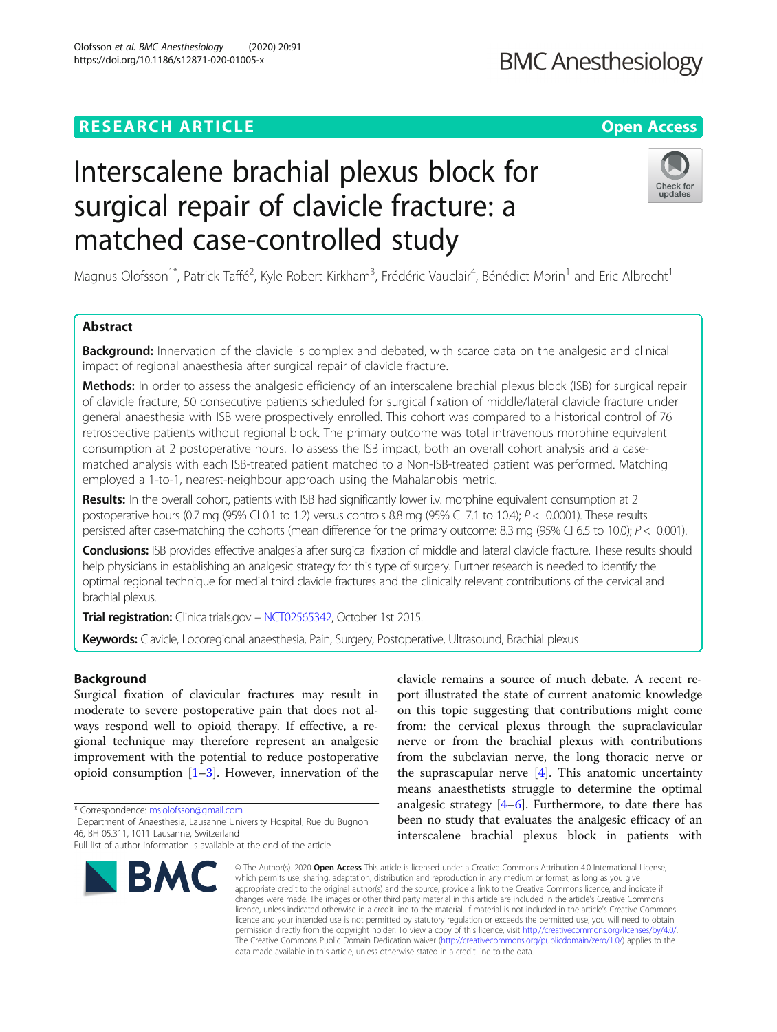## **RESEARCH ARTICLE Example 2014 12:30 The Contract of Contract ACCESS**

# Interscalene brachial plexus block for surgical repair of clavicle fracture: a matched case-controlled study

Magnus Olofsson<sup>1\*</sup>, Patrick Taffé<sup>2</sup>, Kyle Robert Kirkham<sup>3</sup>, Frédéric Vauclair<sup>4</sup>, Bénédict Morin<sup>1</sup> and Eric Albrecht<sup>1</sup>

### Abstract

Background: Innervation of the clavicle is complex and debated, with scarce data on the analgesic and clinical impact of regional anaesthesia after surgical repair of clavicle fracture.

Methods: In order to assess the analgesic efficiency of an interscalene brachial plexus block (ISB) for surgical repair of clavicle fracture, 50 consecutive patients scheduled for surgical fixation of middle/lateral clavicle fracture under general anaesthesia with ISB were prospectively enrolled. This cohort was compared to a historical control of 76 retrospective patients without regional block. The primary outcome was total intravenous morphine equivalent consumption at 2 postoperative hours. To assess the ISB impact, both an overall cohort analysis and a casematched analysis with each ISB-treated patient matched to a Non-ISB-treated patient was performed. Matching employed a 1-to-1, nearest-neighbour approach using the Mahalanobis metric.

Results: In the overall cohort, patients with ISB had significantly lower i.v. morphine equivalent consumption at 2 postoperative hours (0.7 mg (95% CI 0.1 to 1.2) versus controls  $8.8$  mg (95% CI 7.1 to 10.4);  $P < 0.0001$ ). These results persisted after case-matching the cohorts (mean difference for the primary outcome: 8.3 mg (95% CI 6.5 to 10.0); P < 0.001).

Conclusions: ISB provides effective analgesia after surgical fixation of middle and lateral clavicle fracture. These results should help physicians in establishing an analgesic strategy for this type of surgery. Further research is needed to identify the optimal regional technique for medial third clavicle fractures and the clinically relevant contributions of the cervical and brachial plexus.

Trial registration: Clinicaltrials.gov - [NCT02565342](https://clinicaltrials.gov/ct2/show/study/NCT02565342), October 1st 2015.

Keywords: Clavicle, Locoregional anaesthesia, Pain, Surgery, Postoperative, Ultrasound, Brachial plexus

#### **Background**

Surgical fixation of clavicular fractures may result in moderate to severe postoperative pain that does not always respond well to opioid therapy. If effective, a regional technique may therefore represent an analgesic improvement with the potential to reduce postoperative opioid consumption  $[1-3]$  $[1-3]$  $[1-3]$  $[1-3]$ . However, innervation of the

\* Correspondence: [ms.olofsson@gmail.com](mailto:ms.olofsson@gmail.com) <sup>1</sup>

BMC

<sup>1</sup>Department of Anaesthesia, Lausanne University Hospital, Rue du Bugnon 46, BH 05.311, 1011 Lausanne, Switzerland

© The Author(s), 2020 **Open Access** This article is licensed under a Creative Commons Attribution 4.0 International License,

which permits use, sharing, adaptation, distribution and reproduction in any medium or format, as long as you give appropriate credit to the original author(s) and the source, provide a link to the Creative Commons licence, and indicate if changes were made. The images or other third party material in this article are included in the article's Creative Commons licence, unless indicated otherwise in a credit line to the material. If material is not included in the article's Creative Commons licence and your intended use is not permitted by statutory regulation or exceeds the permitted use, you will need to obtain permission directly from the copyright holder. To view a copy of this licence, visit [http://creativecommons.org/licenses/by/4.0/.](http://creativecommons.org/licenses/by/4.0/) The Creative Commons Public Domain Dedication waiver [\(http://creativecommons.org/publicdomain/zero/1.0/](http://creativecommons.org/publicdomain/zero/1.0/)) applies to the data made available in this article, unless otherwise stated in a credit line to the data.

from: the cervical plexus through the supraclavicular nerve or from the brachial plexus with contributions from the subclavian nerve, the long thoracic nerve or the suprascapular nerve  $[4]$  $[4]$ . This anatomic uncertainty means anaesthetists struggle to determine the optimal analgesic strategy  $[4-6]$  $[4-6]$  $[4-6]$  $[4-6]$ . Furthermore, to date there has been no study that evaluates the analgesic efficacy of an interscalene brachial plexus block in patients with

clavicle remains a source of much debate. A recent report illustrated the state of current anatomic knowledge on this topic suggesting that contributions might come







Full list of author information is available at the end of the article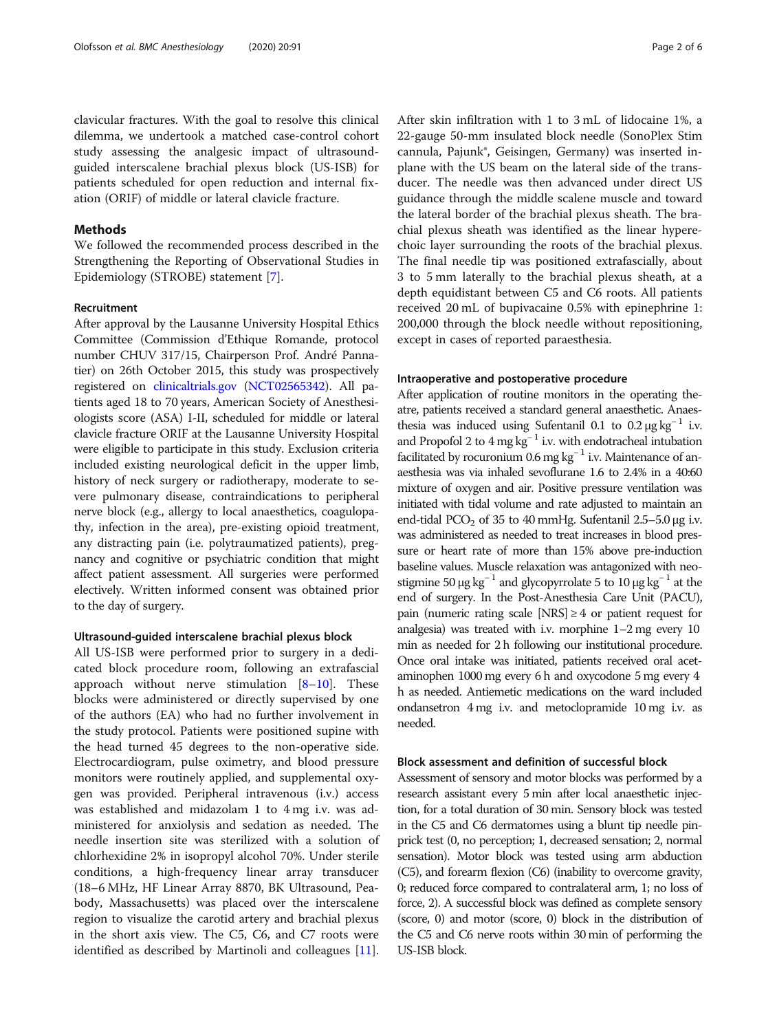patients scheduled for open reduction and internal fixation (ORIF) of middle or lateral clavicle fracture.

Methods

We followed the recommended process described in the Strengthening the Reporting of Observational Studies in Epidemiology (STROBE) statement [\[7](#page-5-0)].

#### Recruitment

After approval by the Lausanne University Hospital Ethics Committee (Commission d'Ethique Romande, protocol number CHUV 317/15, Chairperson Prof. André Pannatier) on 26th October 2015, this study was prospectively registered on [clinicaltrials.gov](http://clinicaltrials.gov) [\(NCT02565342](https://clinicaltrials.gov/ct2/show/study/NCT02565342)). All patients aged 18 to 70 years, American Society of Anesthesiologists score (ASA) I-II, scheduled for middle or lateral clavicle fracture ORIF at the Lausanne University Hospital were eligible to participate in this study. Exclusion criteria included existing neurological deficit in the upper limb, history of neck surgery or radiotherapy, moderate to severe pulmonary disease, contraindications to peripheral nerve block (e.g., allergy to local anaesthetics, coagulopathy, infection in the area), pre-existing opioid treatment, any distracting pain (i.e. polytraumatized patients), pregnancy and cognitive or psychiatric condition that might affect patient assessment. All surgeries were performed electively. Written informed consent was obtained prior to the day of surgery.

#### Ultrasound-guided interscalene brachial plexus block

All US-ISB were performed prior to surgery in a dedicated block procedure room, following an extrafascial approach without nerve stimulation  $[8-10]$  $[8-10]$  $[8-10]$  $[8-10]$  $[8-10]$ . These blocks were administered or directly supervised by one of the authors (EA) who had no further involvement in the study protocol. Patients were positioned supine with the head turned 45 degrees to the non-operative side. Electrocardiogram, pulse oximetry, and blood pressure monitors were routinely applied, and supplemental oxygen was provided. Peripheral intravenous (i.v.) access was established and midazolam 1 to 4 mg i.v. was administered for anxiolysis and sedation as needed. The needle insertion site was sterilized with a solution of chlorhexidine 2% in isopropyl alcohol 70%. Under sterile conditions, a high-frequency linear array transducer (18–6 MHz, HF Linear Array 8870, BK Ultrasound, Peabody, Massachusetts) was placed over the interscalene region to visualize the carotid artery and brachial plexus in the short axis view. The C5, C6, and C7 roots were identified as described by Martinoli and colleagues [\[11](#page-5-0)]. After skin infiltration with 1 to 3 mL of lidocaine 1%, a 22-gauge 50-mm insulated block needle (SonoPlex Stim cannula, Pajunk®, Geisingen, Germany) was inserted inplane with the US beam on the lateral side of the transducer. The needle was then advanced under direct US guidance through the middle scalene muscle and toward the lateral border of the brachial plexus sheath. The brachial plexus sheath was identified as the linear hyperechoic layer surrounding the roots of the brachial plexus. The final needle tip was positioned extrafascially, about 3 to 5 mm laterally to the brachial plexus sheath, at a depth equidistant between C5 and C6 roots. All patients received 20 mL of bupivacaine 0.5% with epinephrine 1: 200,000 through the block needle without repositioning, except in cases of reported paraesthesia.

#### Intraoperative and postoperative procedure

After application of routine monitors in the operating theatre, patients received a standard general anaesthetic. Anaesthesia was induced using Sufentanil 0.1 to  $0.2 \mu$ g kg<sup>-1</sup> i.v. and Propofol 2 to  $4 \text{ mg kg}^{-1}$  i.v. with endotracheal intubation facilitated by rocuronium 0.6 mg kg<sup>-1</sup> i.v. Maintenance of anaesthesia was via inhaled sevoflurane 1.6 to 2.4% in a 40:60 mixture of oxygen and air. Positive pressure ventilation was initiated with tidal volume and rate adjusted to maintain an end-tidal PCO<sub>2</sub> of 35 to 40 mmHg. Sufentanil 2.5–5.0 μg i.v. was administered as needed to treat increases in blood pressure or heart rate of more than 15% above pre-induction baseline values. Muscle relaxation was antagonized with neostigmine 50 μg kg<sup>-1</sup> and glycopyrrolate 5 to 10 μg kg<sup>-1</sup> at the end of surgery. In the Post-Anesthesia Care Unit (PACU), pain (numeric rating scale  $[NRS] \geq 4$  or patient request for analgesia) was treated with i.v. morphine 1–2 mg every 10 min as needed for 2 h following our institutional procedure. Once oral intake was initiated, patients received oral acetaminophen 1000 mg every 6 h and oxycodone 5 mg every 4 h as needed. Antiemetic medications on the ward included ondansetron 4 mg i.v. and metoclopramide 10 mg i.v. as needed.

#### Block assessment and definition of successful block

Assessment of sensory and motor blocks was performed by a research assistant every 5 min after local anaesthetic injection, for a total duration of 30 min. Sensory block was tested in the C5 and C6 dermatomes using a blunt tip needle pinprick test (0, no perception; 1, decreased sensation; 2, normal sensation). Motor block was tested using arm abduction (C5), and forearm flexion (C6) (inability to overcome gravity, 0; reduced force compared to contralateral arm, 1; no loss of force, 2). A successful block was defined as complete sensory (score, 0) and motor (score, 0) block in the distribution of the C5 and C6 nerve roots within 30 min of performing the US-ISB block.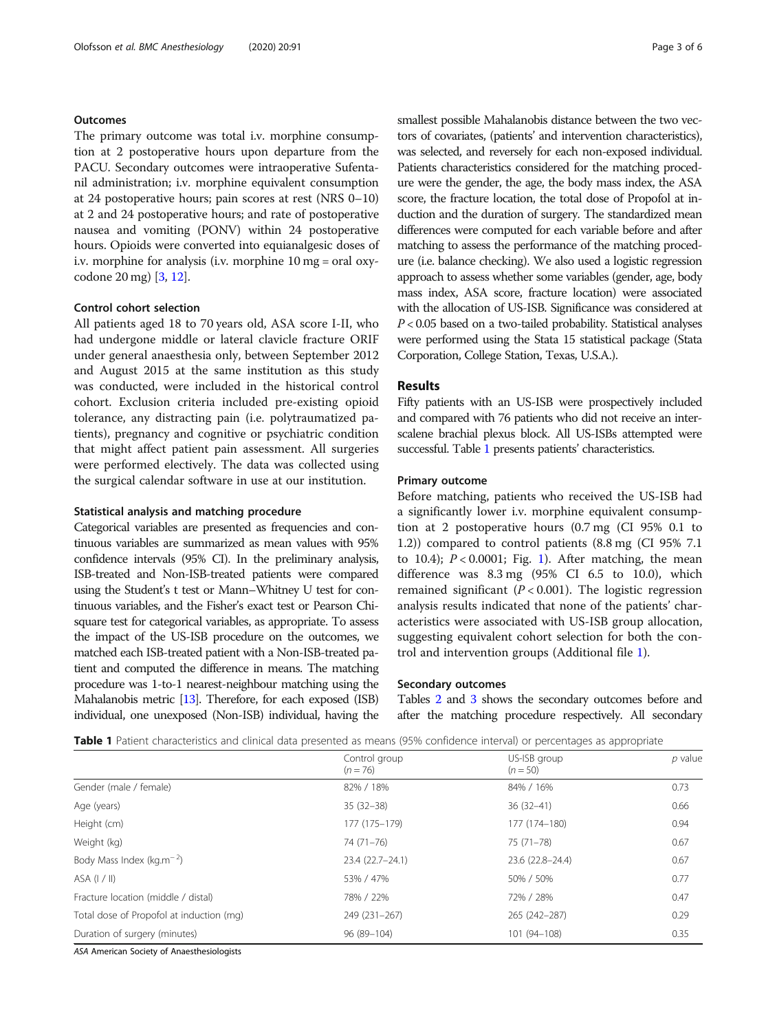#### **Outcomes**

The primary outcome was total i.v. morphine consumption at 2 postoperative hours upon departure from the PACU. Secondary outcomes were intraoperative Sufentanil administration; i.v. morphine equivalent consumption at 24 postoperative hours; pain scores at rest (NRS 0–10) at 2 and 24 postoperative hours; and rate of postoperative nausea and vomiting (PONV) within 24 postoperative hours. Opioids were converted into equianalgesic doses of i.v. morphine for analysis (i.v. morphine 10 mg = oral oxycodone 20 mg) [[3](#page-5-0), [12\]](#page-5-0).

#### Control cohort selection

All patients aged 18 to 70 years old, ASA score I-II, who had undergone middle or lateral clavicle fracture ORIF under general anaesthesia only, between September 2012 and August 2015 at the same institution as this study was conducted, were included in the historical control cohort. Exclusion criteria included pre-existing opioid tolerance, any distracting pain (i.e. polytraumatized patients), pregnancy and cognitive or psychiatric condition that might affect patient pain assessment. All surgeries were performed electively. The data was collected using the surgical calendar software in use at our institution.

#### Statistical analysis and matching procedure

Categorical variables are presented as frequencies and continuous variables are summarized as mean values with 95% confidence intervals (95% CI). In the preliminary analysis, ISB-treated and Non-ISB-treated patients were compared using the Student's t test or Mann–Whitney U test for continuous variables, and the Fisher's exact test or Pearson Chisquare test for categorical variables, as appropriate. To assess the impact of the US-ISB procedure on the outcomes, we matched each ISB-treated patient with a Non-ISB-treated patient and computed the difference in means. The matching procedure was 1-to-1 nearest-neighbour matching using the Mahalanobis metric [\[13\]](#page-5-0). Therefore, for each exposed (ISB) individual, one unexposed (Non-ISB) individual, having the smallest possible Mahalanobis distance between the two vectors of covariates, (patients' and intervention characteristics), was selected, and reversely for each non-exposed individual. Patients characteristics considered for the matching procedure were the gender, the age, the body mass index, the ASA score, the fracture location, the total dose of Propofol at induction and the duration of surgery. The standardized mean differences were computed for each variable before and after matching to assess the performance of the matching procedure (i.e. balance checking). We also used a logistic regression approach to assess whether some variables (gender, age, body mass index, ASA score, fracture location) were associated with the allocation of US-ISB. Significance was considered at  $P < 0.05$  based on a two-tailed probability. Statistical analyses were performed using the Stata 15 statistical package (Stata Corporation, College Station, Texas, U.S.A.).

#### Results

Fifty patients with an US-ISB were prospectively included and compared with 76 patients who did not receive an interscalene brachial plexus block. All US-ISBs attempted were successful. Table 1 presents patients' characteristics.

#### Primary outcome

Before matching, patients who received the US-ISB had a significantly lower i.v. morphine equivalent consumption at 2 postoperative hours (0.7 mg (CI 95% 0.1 to 1.2)) compared to control patients (8.8 mg (CI 95% 7.1 to [1](#page-3-0)0.4);  $P < 0.0001$ ; Fig. 1). After matching, the mean difference was 8.3 mg (95% CI 6.5 to 10.0), which remained significant ( $P < 0.001$ ). The logistic regression analysis results indicated that none of the patients' characteristics were associated with US-ISB group allocation, suggesting equivalent cohort selection for both the control and intervention groups (Additional file [1](#page-4-0)).

#### Secondary outcomes

Tables [2](#page-3-0) and [3](#page-4-0) shows the secondary outcomes before and after the matching procedure respectively. All secondary

|                                          | Control group<br>$(n = 76)$ | US-ISB group<br>$(n = 50)$ | p value |
|------------------------------------------|-----------------------------|----------------------------|---------|
| Gender (male / female)                   | 82% / 18%                   | 84% / 16%                  | 0.73    |
| Age (years)                              | $35(32-38)$                 | $36(32 - 41)$              | 0.66    |
| Height (cm)                              | 177 (175-179)               | 177 (174-180)              | 0.94    |
| Weight (kg)                              | 74 (71-76)                  | 75 (71 - 78)               | 0.67    |
| Body Mass Index ( $kg.m^{-2}$ )          | 23.4 (22.7-24.1)            | 23.6 (22.8-24.4)           | 0.67    |
| $ASA$ ( $1/II$ )                         | 53% / 47%                   | 50% / 50%                  | 0.77    |
| Fracture location (middle / distal)      | 78% / 22%                   | 72% / 28%                  | 0.47    |
| Total dose of Propofol at induction (mg) | 249 (231-267)               | 265 (242-287)              | 0.29    |
| Duration of surgery (minutes)            | 96 (89-104)                 | 101 (94-108)               | 0.35    |

Table 1 Patient characteristics and clinical data presented as means (95% confidence interval) or percentages as appropriate

ASA American Society of Anaesthesiologists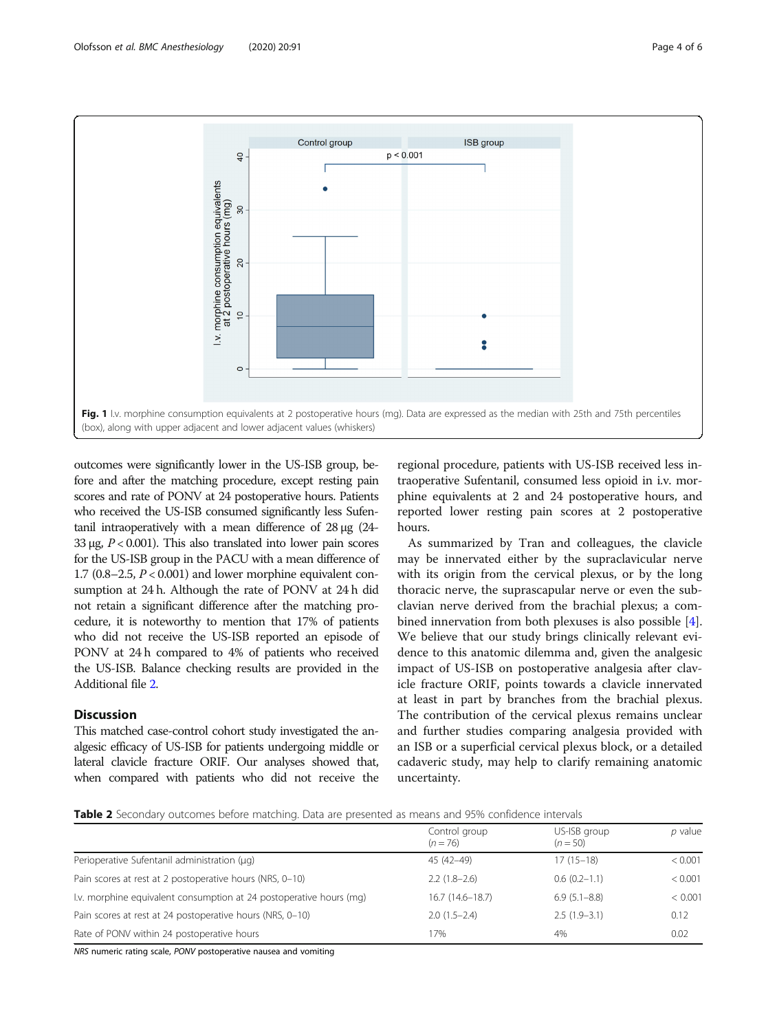<span id="page-3-0"></span>

outcomes were significantly lower in the US-ISB group, before and after the matching procedure, except resting pain scores and rate of PONV at 24 postoperative hours. Patients who received the US-ISB consumed significantly less Sufentanil intraoperatively with a mean difference of 28 μg (24- 33 μg,  $P < 0.001$ ). This also translated into lower pain scores for the US-ISB group in the PACU with a mean difference of 1.7 (0.8–2.5,  $P < 0.001$ ) and lower morphine equivalent consumption at 24 h. Although the rate of PONV at 24 h did not retain a significant difference after the matching procedure, it is noteworthy to mention that 17% of patients who did not receive the US-ISB reported an episode of PONV at 24 h compared to 4% of patients who received the US-ISB. Balance checking results are provided in the Additional file [2](#page-4-0).

#### **Discussion**

This matched case-control cohort study investigated the analgesic efficacy of US-ISB for patients undergoing middle or lateral clavicle fracture ORIF. Our analyses showed that, when compared with patients who did not receive the

regional procedure, patients with US-ISB received less intraoperative Sufentanil, consumed less opioid in i.v. morphine equivalents at 2 and 24 postoperative hours, and reported lower resting pain scores at 2 postoperative hours.

As summarized by Tran and colleagues, the clavicle may be innervated either by the supraclavicular nerve with its origin from the cervical plexus, or by the long thoracic nerve, the suprascapular nerve or even the subclavian nerve derived from the brachial plexus; a combined innervation from both plexuses is also possible [\[4](#page-5-0)]. We believe that our study brings clinically relevant evidence to this anatomic dilemma and, given the analgesic impact of US-ISB on postoperative analgesia after clavicle fracture ORIF, points towards a clavicle innervated at least in part by branches from the brachial plexus. The contribution of the cervical plexus remains unclear and further studies comparing analgesia provided with an ISB or a superficial cervical plexus block, or a detailed cadaveric study, may help to clarify remaining anatomic uncertainty.

Table 2 Secondary outcomes before matching. Data are presented as means and 95% confidence intervals

|                                                                     | Control group<br>$(n = 76)$ | US-ISB group<br>$(n = 50)$ | p value |
|---------------------------------------------------------------------|-----------------------------|----------------------------|---------|
| Perioperative Sufentanil administration (µq)                        | 45 (42-49)                  | $17(15-18)$                | < 0.001 |
| Pain scores at rest at 2 postoperative hours (NRS, 0-10)            | $2.2(1.8-2.6)$              | $0.6(0.2-1.1)$             | < 0.001 |
| I.v. morphine equivalent consumption at 24 postoperative hours (mq) | $16.7(14.6 - 18.7)$         | $6.9(5.1 - 8.8)$           | < 0.001 |
| Pain scores at rest at 24 postoperative hours (NRS, 0-10)           | $2.0(1.5-2.4)$              | $2.5(1.9-3.1)$             | 0.12    |
| Rate of PONV within 24 postoperative hours                          | 7%                          | 4%                         | 0.02    |

NRS numeric rating scale, PONV postoperative nausea and vomiting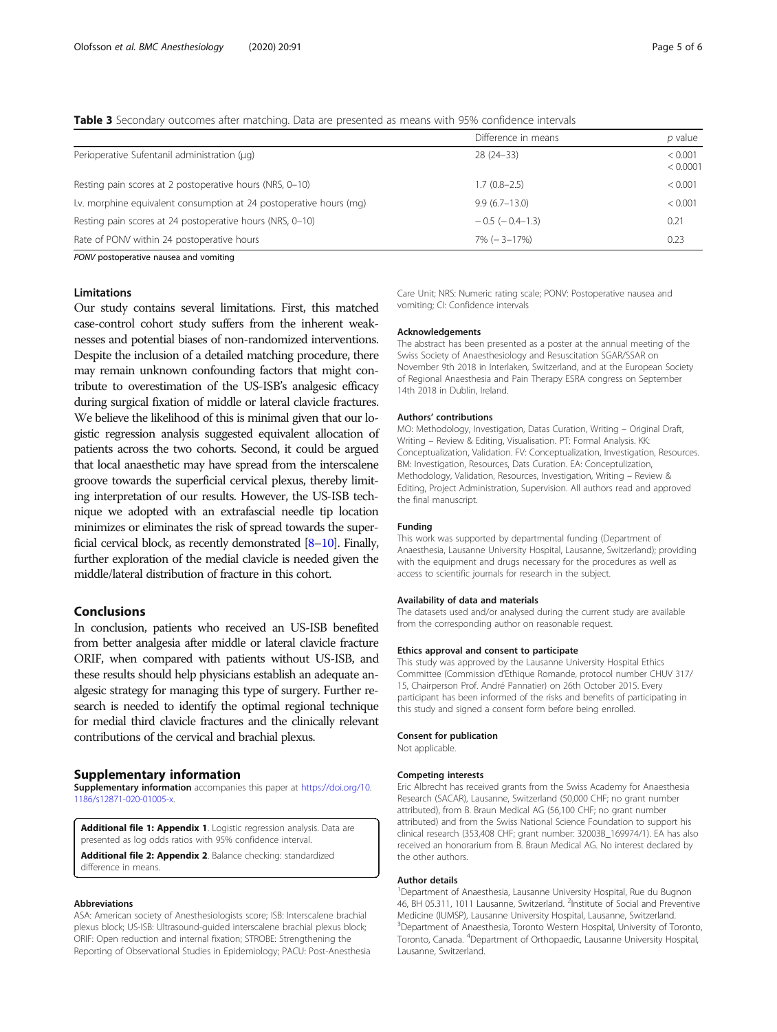<span id="page-4-0"></span>Table 3 Secondary outcomes after matching. Data are presented as means with 95% confidence intervals

|                                                                     | Difference in means   | p value             |
|---------------------------------------------------------------------|-----------------------|---------------------|
| Perioperative Sufentanil administration (µq)                        | $28(24-33)$           | < 0.001<br>< 0.0001 |
| Resting pain scores at 2 postoperative hours (NRS, 0-10)            | $1.7(0.8-2.5)$        | < 0.001             |
| I.v. morphine equivalent consumption at 24 postoperative hours (mq) | $9.9(6.7-13.0)$       | < 0.001             |
| Resting pain scores at 24 postoperative hours (NRS, 0-10)           | $-0.5$ ( $-0.4-1.3$ ) | 0.21                |
| Rate of PONV within 24 postoperative hours                          | $7\%$ ( $-3-17\%$ )   | 0.23                |

PONV postoperative nausea and vomiting

#### Limitations

Our study contains several limitations. First, this matched case-control cohort study suffers from the inherent weaknesses and potential biases of non-randomized interventions. Despite the inclusion of a detailed matching procedure, there may remain unknown confounding factors that might contribute to overestimation of the US-ISB's analgesic efficacy during surgical fixation of middle or lateral clavicle fractures. We believe the likelihood of this is minimal given that our logistic regression analysis suggested equivalent allocation of patients across the two cohorts. Second, it could be argued that local anaesthetic may have spread from the interscalene groove towards the superficial cervical plexus, thereby limiting interpretation of our results. However, the US-ISB technique we adopted with an extrafascial needle tip location minimizes or eliminates the risk of spread towards the superficial cervical block, as recently demonstrated [\[8](#page-5-0)–[10\]](#page-5-0). Finally, further exploration of the medial clavicle is needed given the middle/lateral distribution of fracture in this cohort.

#### Conclusions

In conclusion, patients who received an US-ISB benefited from better analgesia after middle or lateral clavicle fracture ORIF, when compared with patients without US-ISB, and these results should help physicians establish an adequate analgesic strategy for managing this type of surgery. Further research is needed to identify the optimal regional technique for medial third clavicle fractures and the clinically relevant contributions of the cervical and brachial plexus.

#### Supplementary information

Supplementary information accompanies this paper at [https://doi.org/10.](https://doi.org/10.1186/s12871-020-01005-x) [1186/s12871-020-01005-x.](https://doi.org/10.1186/s12871-020-01005-x)

Additional file 1: Appendix 1. Logistic regression analysis. Data are presented as log odds ratios with 95% confidence interval.

Additional file 2: Appendix 2. Balance checking: standardized difference in means.

#### Abbreviations

ASA: American society of Anesthesiologists score; ISB: Interscalene brachial plexus block; US-ISB: Ultrasound-guided interscalene brachial plexus block; ORIF: Open reduction and internal fixation; STROBE: Strengthening the Reporting of Observational Studies in Epidemiology; PACU: Post-Anesthesia Care Unit; NRS: Numeric rating scale; PONV: Postoperative nausea and vomiting; CI: Confidence intervals

#### Acknowledgements

The abstract has been presented as a poster at the annual meeting of the Swiss Society of Anaesthesiology and Resuscitation SGAR/SSAR on November 9th 2018 in Interlaken, Switzerland, and at the European Society of Regional Anaesthesia and Pain Therapy ESRA congress on September 14th 2018 in Dublin, Ireland.

#### Authors' contributions

MO: Methodology, Investigation, Datas Curation, Writing – Original Draft, Writing – Review & Editing, Visualisation. PT: Formal Analysis. KK: Conceptualization, Validation. FV: Conceptualization, Investigation, Resources. BM: Investigation, Resources, Dats Curation. EA: Conceptulization, Methodology, Validation, Resources, Investigation, Writing – Review & Editing, Project Administration, Supervision. All authors read and approved the final manuscript.

#### Funding

This work was supported by departmental funding (Department of Anaesthesia, Lausanne University Hospital, Lausanne, Switzerland); providing with the equipment and drugs necessary for the procedures as well as access to scientific journals for research in the subject.

#### Availability of data and materials

The datasets used and/or analysed during the current study are available from the corresponding author on reasonable request.

#### Ethics approval and consent to participate

This study was approved by the Lausanne University Hospital Ethics Committee (Commission d'Ethique Romande, protocol number CHUV 317/ 15, Chairperson Prof. André Pannatier) on 26th October 2015. Every participant has been informed of the risks and benefits of participating in this study and signed a consent form before being enrolled.

#### Consent for publication

Not applicable.

#### Competing interests

Eric Albrecht has received grants from the Swiss Academy for Anaesthesia Research (SACAR), Lausanne, Switzerland (50,000 CHF; no grant number attributed), from B. Braun Medical AG (56,100 CHF; no grant number attributed) and from the Swiss National Science Foundation to support his clinical research (353,408 CHF; grant number: 32003B\_169974/1). EA has also received an honorarium from B. Braun Medical AG. No interest declared by the other authors.

#### Author details

<sup>1</sup>Department of Anaesthesia, Lausanne University Hospital, Rue du Bugnon 46, BH 05.311, 1011 Lausanne, Switzerland. <sup>2</sup>Institute of Social and Preventive Medicine (IUMSP), Lausanne University Hospital, Lausanne, Switzerland. <sup>3</sup> Department of Anaesthesia, Toronto Western Hospital, University of Toronto Toronto, Canada. <sup>4</sup>Department of Orthopaedic, Lausanne University Hospital Lausanne, Switzerland.